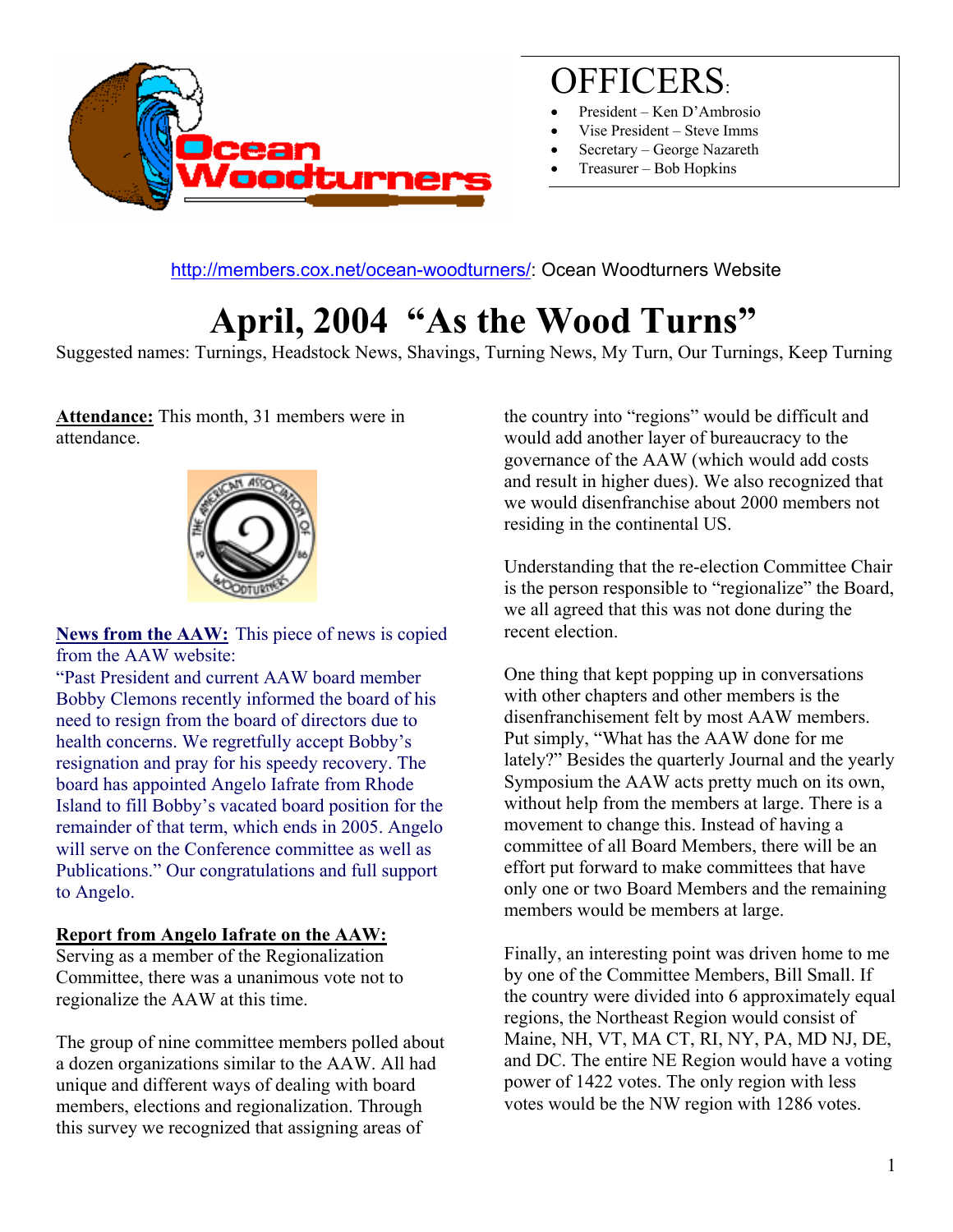

## OFFICERS:

- President Ken D'Ambrosio
- Vise President Steve Imms
- Secretary George Nazareth
- Treasurer Bob Hopkins

<http://members.cox.net/ocean-woodturners/>: Ocean Woodturners Website

# **April, 2004 "As the Wood Turns"**

Suggested names: Turnings, Headstock News, Shavings, Turning News, My Turn, Our Turnings, Keep Turning

**Attendance:** This month, 31 members were in attendance.



**News from the AAW:** This piece of news is copied from the AAW website:

"Past President and current AAW board member Bobby Clemons recently informed the board of his need to resign from the board of directors due to health concerns. We regretfully accept Bobby's resignation and pray for his speedy recovery. The board has appointed Angelo Iafrate from Rhode Island to fill Bobby's vacated board position for the remainder of that term, which ends in 2005. Angelo will serve on the Conference committee as well as Publications." Our congratulations and full support to Angelo.

### **Report from Angelo Iafrate on the AAW:**

Serving as a member of the Regionalization Committee, there was a unanimous vote not to regionalize the AAW at this time.

The group of nine committee members polled about a dozen organizations similar to the AAW. All had unique and different ways of dealing with board members, elections and regionalization. Through this survey we recognized that assigning areas of

the country into "regions" would be difficult and would add another layer of bureaucracy to the governance of the AAW (which would add costs and result in higher dues). We also recognized that we would disenfranchise about 2000 members not residing in the continental US.

Understanding that the re-election Committee Chair is the person responsible to "regionalize" the Board, we all agreed that this was not done during the recent election.

One thing that kept popping up in conversations with other chapters and other members is the disenfranchisement felt by most AAW members. Put simply, "What has the AAW done for me lately?" Besides the quarterly Journal and the yearly Symposium the AAW acts pretty much on its own, without help from the members at large. There is a movement to change this. Instead of having a committee of all Board Members, there will be an effort put forward to make committees that have only one or two Board Members and the remaining members would be members at large.

Finally, an interesting point was driven home to me by one of the Committee Members, Bill Small. If the country were divided into 6 approximately equal regions, the Northeast Region would consist of Maine, NH, VT, MA CT, RI, NY, PA, MD NJ, DE, and DC. The entire NE Region would have a voting power of 1422 votes. The only region with less votes would be the NW region with 1286 votes.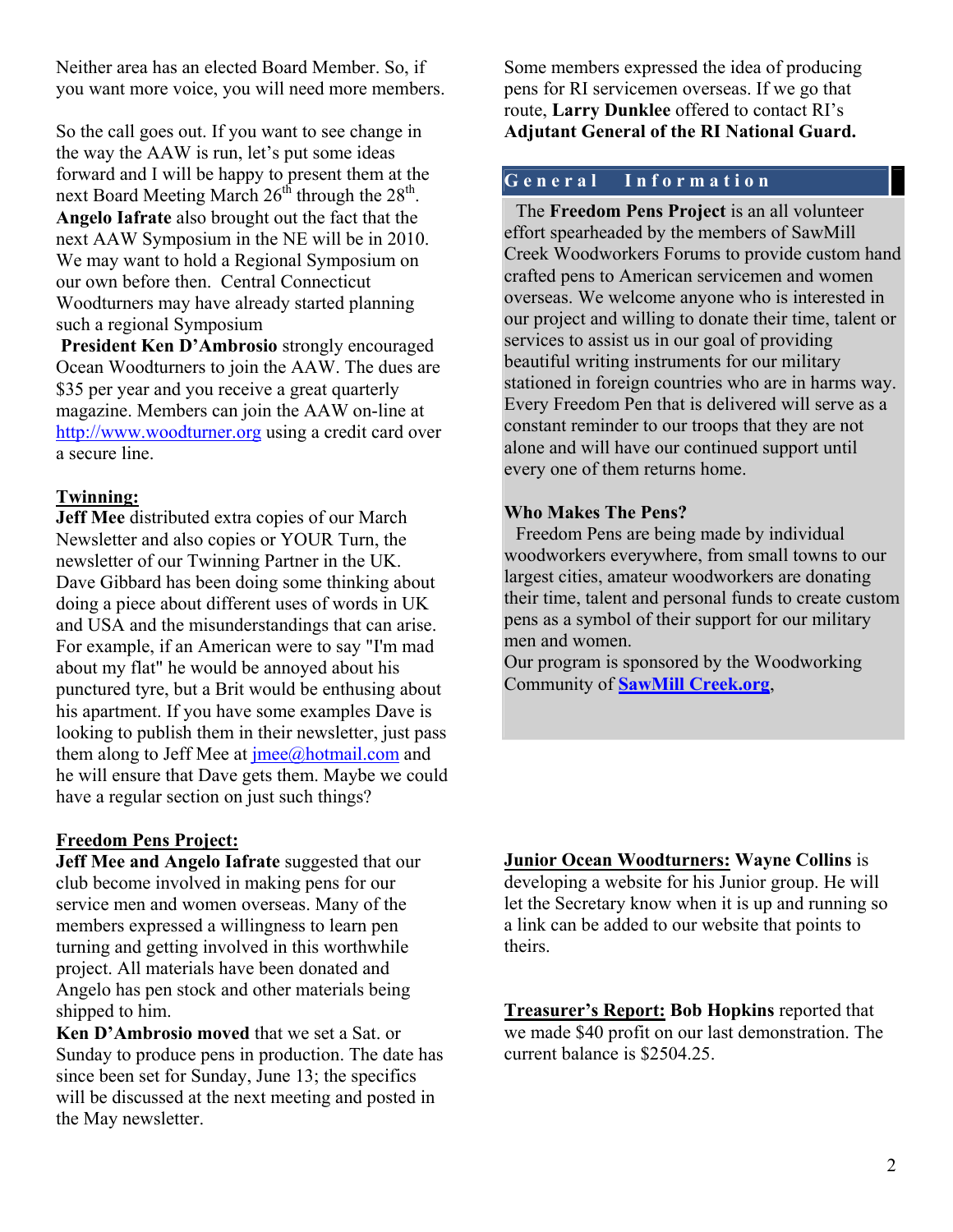Neither area has an elected Board Member. So, if you want more voice, you will need more members.

So the call goes out. If you want to see change in the way the AAW is run, let's put some ideas forward and I will be happy to present them at the forward and I will be happy to present them at the **G** e **n** e r a l I **n** f o r **m** a t i o **n** next Board Meeting March 26<sup>th</sup> through the 28<sup>th</sup>. **Angelo Iafrate** also brought out the fact that the next AAW Symposium in the NE will be in 2010. We may want to hold a Regional Symposium on our own before then. Central Connecticut Woodturners may have already started planning such a regional Symposium

**President Ken D'Ambrosio** strongly encouraged Ocean Woodturners to join the AAW. The dues are \$35 per year and you receive a great quarterly magazine. Members can join the AAW on-line at [http://www.woodturner.org](http://www.woodturner.org/) using a credit card over a secure line.

#### **Twinning:**

**Jeff Mee** distributed extra copies of our March Newsletter and also copies or YOUR Turn, the newsletter of our Twinning Partner in the UK. Dave Gibbard has been doing some thinking about doing a piece about different uses of words in UK and USA and the misunderstandings that can arise. For example, if an American were to say "I'm mad about my flat" he would be annoyed about his punctured tyre, but a Brit would be enthusing about his apartment. If you have some examples Dave is looking to publish them in their newsletter, just pass them along to Jeff Mee at  $\text{imee}(a)$  hotmail.com and he will ensure that Dave gets them. Maybe we could have a regular section on just such things?

#### **Freedom Pens Project:**

**Jeff Mee and Angelo Iafrate** suggested that our club become involved in making pens for our service men and women overseas. Many of the members expressed a willingness to learn pen turning and getting involved in this worthwhile project. All materials have been donated and Angelo has pen stock and other materials being

**Ken D'Ambrosio moved** that we set a Sat. or Sunday to produce pens in production. The date has since been set for Sunday, June 13; the specifics will be discussed at the next meeting and posted in the May newsletter.

Some members expressed the idea of producing pens for RI servicemen overseas. If we go that route, **Larry Dunklee** offered to contact RI's **Adjutant General of the RI National Guard.** 

 The **Freedom Pens Project** is an all volunteer effort spearheaded by the members of SawMill Creek Woodworkers Forums to provide custom hand crafted pens to American servicemen and women overseas. We welcome anyone who is interested in our project and willing to donate their time, talent or services to assist us in our goal of providing beautiful writing instruments for our military stationed in foreign countries who are in harms way. Every Freedom Pen that is delivered will serve as a constant reminder to our troops that they are not alone and will have our continued support until every one of them returns home.

#### **Who Makes The Pens?**

 Freedom Pens are being made by individual woodworkers everywhere, from small towns to our largest cities, amateur woodworkers are donating their time, talent and personal funds to create custom pens as a symbol of their support for our military men and women.

Our program is sponsored by the Woodworking Community of **[SawMill Creek.org](http://www.sawmillcreek.org/)**,

**Junior Ocean Woodturners: Wayne Collins** is developing a website for his Junior group. He will let the Secretary know when it is up and running so a link can be added to our website that points to theirs.

shipped to him. **Treasurer's Report: Bob Hopkins** reported that we made \$40 profit on our last demonstration. The current balance is \$2504.25.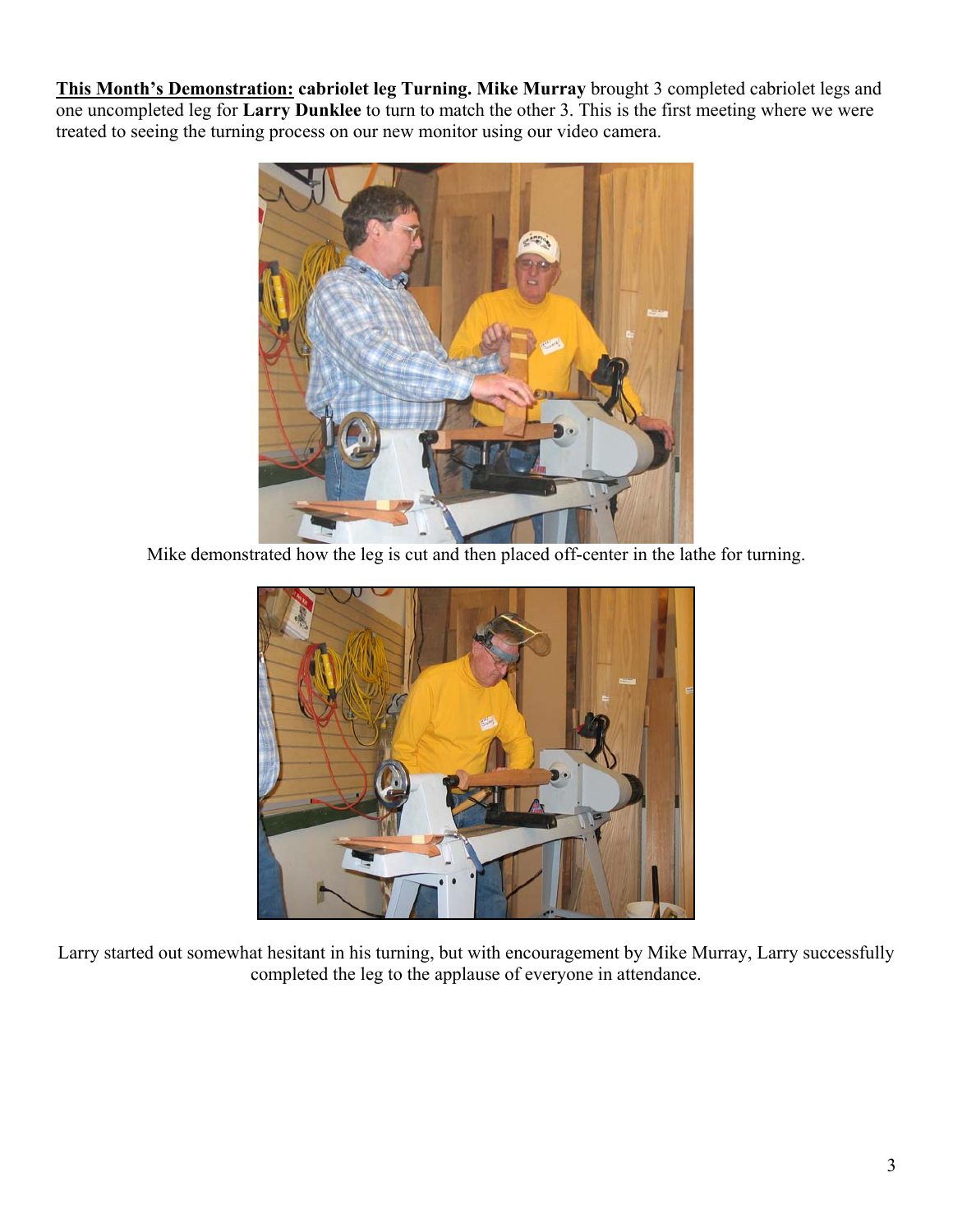**This Month's Demonstration: cabriolet leg Turning. Mike Murray** brought 3 completed cabriolet legs and one uncompleted leg for **Larry Dunklee** to turn to match the other 3. This is the first meeting where we were treated to seeing the turning process on our new monitor using our video camera.



Mike demonstrated how the leg is cut and then placed off-center in the lathe for turning.



Larry started out somewhat hesitant in his turning, but with encouragement by Mike Murray, Larry successfully completed the leg to the applause of everyone in attendance.